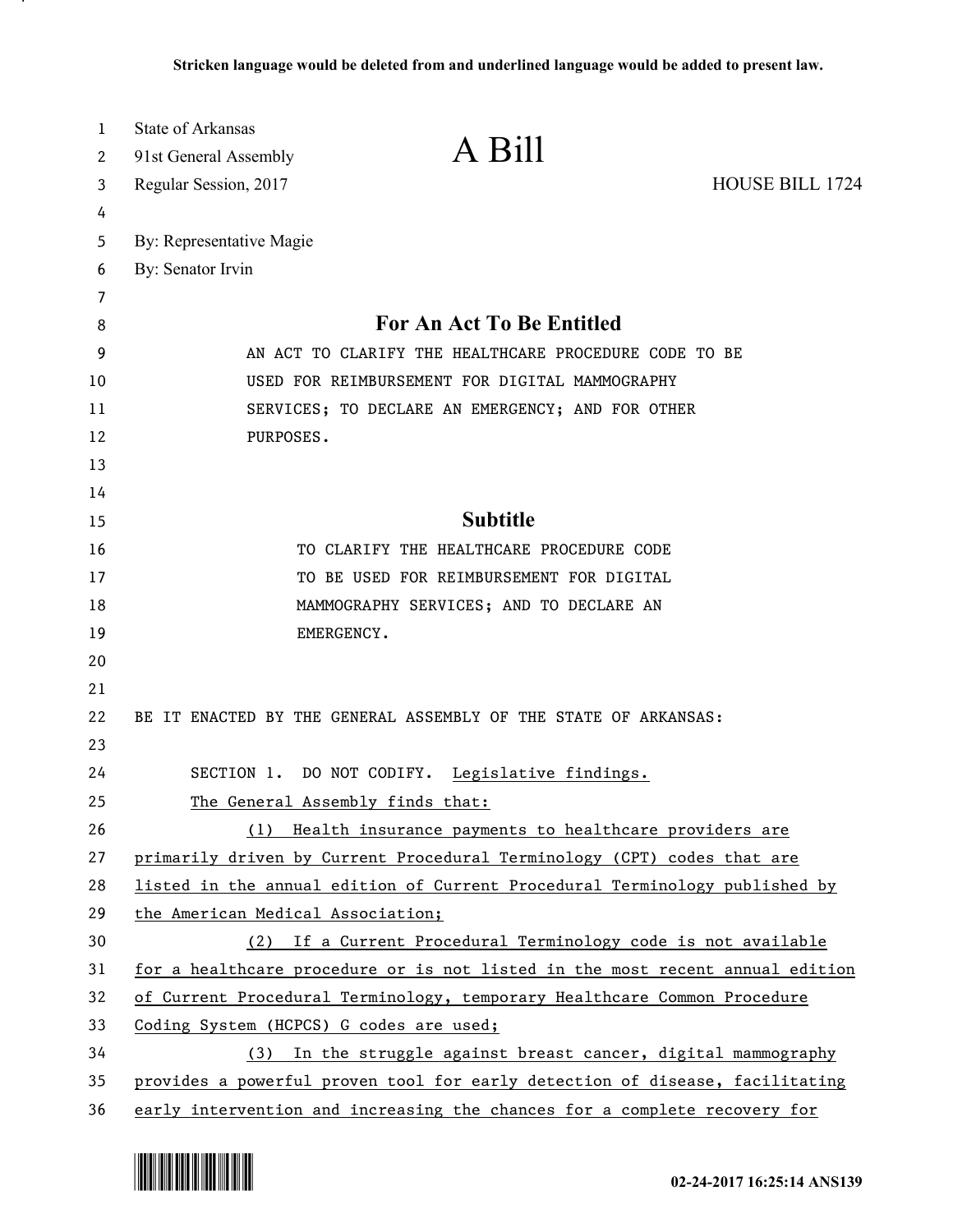| 1  | State of Arkansas                                                             |  |
|----|-------------------------------------------------------------------------------|--|
| 2  | A Bill<br>91st General Assembly                                               |  |
| 3  | HOUSE BILL 1724<br>Regular Session, 2017                                      |  |
| 4  |                                                                               |  |
| 5  | By: Representative Magie                                                      |  |
| 6  | By: Senator Irvin                                                             |  |
| 7  |                                                                               |  |
| 8  | For An Act To Be Entitled                                                     |  |
| 9  | AN ACT TO CLARIFY THE HEALTHCARE PROCEDURE CODE TO BE                         |  |
| 10 | USED FOR REIMBURSEMENT FOR DIGITAL MAMMOGRAPHY                                |  |
| 11 | SERVICES; TO DECLARE AN EMERGENCY; AND FOR OTHER                              |  |
| 12 | PURPOSES.                                                                     |  |
| 13 |                                                                               |  |
| 14 |                                                                               |  |
| 15 | <b>Subtitle</b>                                                               |  |
| 16 | TO CLARIFY THE HEALTHCARE PROCEDURE CODE                                      |  |
| 17 | TO BE USED FOR REIMBURSEMENT FOR DIGITAL                                      |  |
| 18 | MAMMOGRAPHY SERVICES; AND TO DECLARE AN                                       |  |
| 19 | EMERGENCY.                                                                    |  |
| 20 |                                                                               |  |
| 21 |                                                                               |  |
| 22 | BE IT ENACTED BY THE GENERAL ASSEMBLY OF THE STATE OF ARKANSAS:               |  |
| 23 |                                                                               |  |
| 24 | SECTION 1. DO NOT CODIFY. Legislative findings.                               |  |
| 25 | The General Assembly finds that:                                              |  |
| 26 | (1) Health insurance payments to healthcare providers are                     |  |
| 27 | primarily driven by Current Procedural Terminology (CPT) codes that are       |  |
| 28 | listed in the annual edition of Current Procedural Terminology published by   |  |
| 29 | the American Medical Association;                                             |  |
| 30 | (2) If a Current Procedural Terminology code is not available                 |  |
| 31 | for a healthcare procedure or is not listed in the most recent annual edition |  |
| 32 | of Current Procedural Terminology, temporary Healthcare Common Procedure      |  |
| 33 | Coding System (HCPCS) G codes are used;                                       |  |
| 34 | (3) In the struggle against breast cancer, digital mammography                |  |
| 35 | provides a powerful proven tool for early detection of disease, facilitating  |  |
| 36 | early intervention and increasing the chances for a complete recovery for     |  |